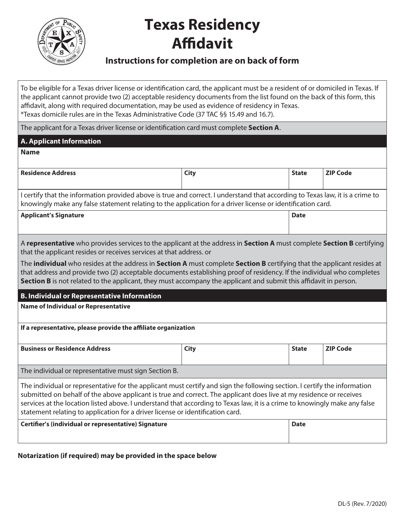

# **Texas Residency Affidavit**

### **Instructions for completion are on back of form**

To be eligible for a Texas driver license or identification card, the applicant must be a resident of or domiciled in Texas. If the applicant cannot provide two (2) acceptable residency documents from the list found on the back of this form, this affidavit, along with required documentation, may be used as evidence of residency in Texas. \*Texas domicile rules are in the Texas Administrative Code (37 TAC §§ 15.49 and 16.7).

The applicant for a Texas driver license or identification card must complete **Section A**.

| The applicant for a Texas driver license or identification card must complete <b>Section A</b> .                                                                                                                                                                                                                                                                                                                                                                 |             |              |                 |
|------------------------------------------------------------------------------------------------------------------------------------------------------------------------------------------------------------------------------------------------------------------------------------------------------------------------------------------------------------------------------------------------------------------------------------------------------------------|-------------|--------------|-----------------|
| <b>A. Applicant Information</b>                                                                                                                                                                                                                                                                                                                                                                                                                                  |             |              |                 |
| <b>Name</b>                                                                                                                                                                                                                                                                                                                                                                                                                                                      |             |              |                 |
|                                                                                                                                                                                                                                                                                                                                                                                                                                                                  |             |              |                 |
| <b>Residence Address</b>                                                                                                                                                                                                                                                                                                                                                                                                                                         | <b>City</b> | <b>State</b> | <b>ZIP Code</b> |
| I certify that the information provided above is true and correct. I understand that according to Texas law, it is a crime to<br>knowingly make any false statement relating to the application for a driver license or identification card.                                                                                                                                                                                                                     |             |              |                 |
| <b>Applicant's Signature</b>                                                                                                                                                                                                                                                                                                                                                                                                                                     |             | <b>Date</b>  |                 |
| A representative who provides services to the applicant at the address in Section A must complete Section B certifying<br>that the applicant resides or receives services at that address. or                                                                                                                                                                                                                                                                    |             |              |                 |
| The individual who resides at the address in Section A must complete Section B certifying that the applicant resides at<br>that address and provide two (2) acceptable documents establishing proof of residency. If the individual who completes<br>Section B is not related to the applicant, they must accompany the applicant and submit this affidavit in person.                                                                                           |             |              |                 |
| <b>B. Individual or Representative Information</b>                                                                                                                                                                                                                                                                                                                                                                                                               |             |              |                 |
| <b>Name of Individual or Representative</b>                                                                                                                                                                                                                                                                                                                                                                                                                      |             |              |                 |
| If a representative, please provide the affiliate organization                                                                                                                                                                                                                                                                                                                                                                                                   |             |              |                 |
| <b>Business or Residence Address</b>                                                                                                                                                                                                                                                                                                                                                                                                                             | <b>City</b> | <b>State</b> | <b>ZIP Code</b> |
| The individual or representative must sign Section B.                                                                                                                                                                                                                                                                                                                                                                                                            |             |              |                 |
| The individual or representative for the applicant must certify and sign the following section. I certify the information<br>submitted on behalf of the above applicant is true and correct. The applicant does live at my residence or receives<br>services at the location listed above. I understand that according to Texas law, it is a crime to knowingly make any false<br>statement relating to application for a driver license or identification card. |             |              |                 |
| Certifier's (individual or representative) Signature                                                                                                                                                                                                                                                                                                                                                                                                             |             | <b>Date</b>  |                 |

#### **Notarization (if required) may be provided in the space below**